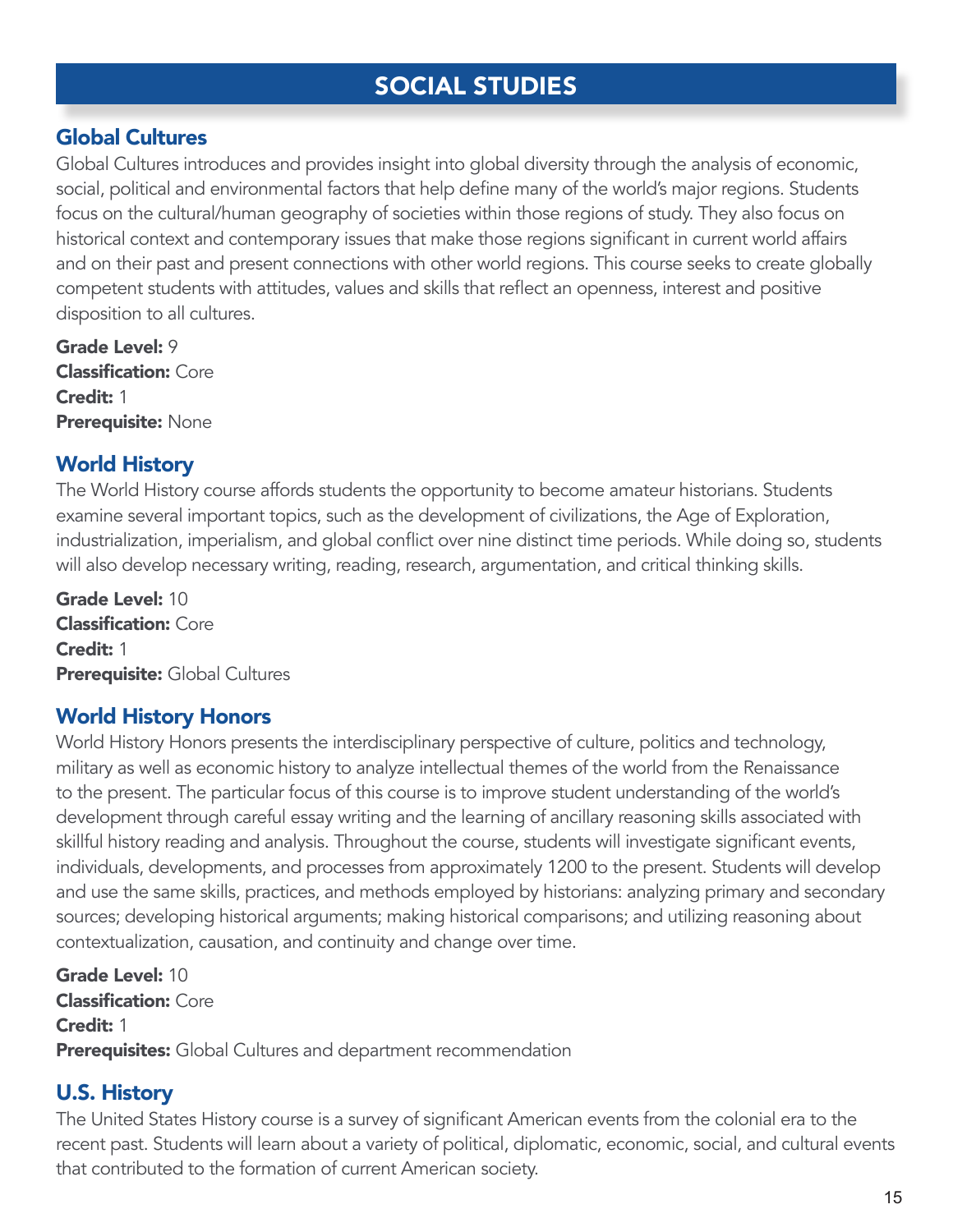# SOCIAL STUDIES

## Global Cultures

Global Cultures introduces and provides insight into global diversity through the analysis of economic, social, political and environmental factors that help define many of the world's major regions. Students focus on the cultural/human geography of societies within those regions of study. They also focus on historical context and contemporary issues that make those regions significant in current world affairs and on their past and present connections with other world regions. This course seeks to create globally competent students with attitudes, values and skills that reflect an openness, interest and positive disposition to all cultures.

Grade Level: 9 Classification: Core Credit: 1 Prerequisite: None

#### World History

The World History course affords students the opportunity to become amateur historians. Students examine several important topics, such as the development of civilizations, the Age of Exploration, industrialization, imperialism, and global conflict over nine distinct time periods. While doing so, students will also develop necessary writing, reading, research, argumentation, and critical thinking skills.

Grade Level: 10 Classification: Core Credit: 1 Prerequisite: Global Cultures

## World History Honors

World History Honors presents the interdisciplinary perspective of culture, politics and technology, military as well as economic history to analyze intellectual themes of the world from the Renaissance to the present. The particular focus of this course is to improve student understanding of the world's development through careful essay writing and the learning of ancillary reasoning skills associated with skillful history reading and analysis. Throughout the course, students will investigate significant events, individuals, developments, and processes from approximately 1200 to the present. Students will develop and use the same skills, practices, and methods employed by historians: analyzing primary and secondary sources; developing historical arguments; making historical comparisons; and utilizing reasoning about contextualization, causation, and continuity and change over time.

Grade Level: 10 Classification: Core Credit: 1 Prerequisites: Global Cultures and department recommendation

## U.S. History

The United States History course is a survey of significant American events from the colonial era to the recent past. Students will learn about a variety of political, diplomatic, economic, social, and cultural events that contributed to the formation of current American society.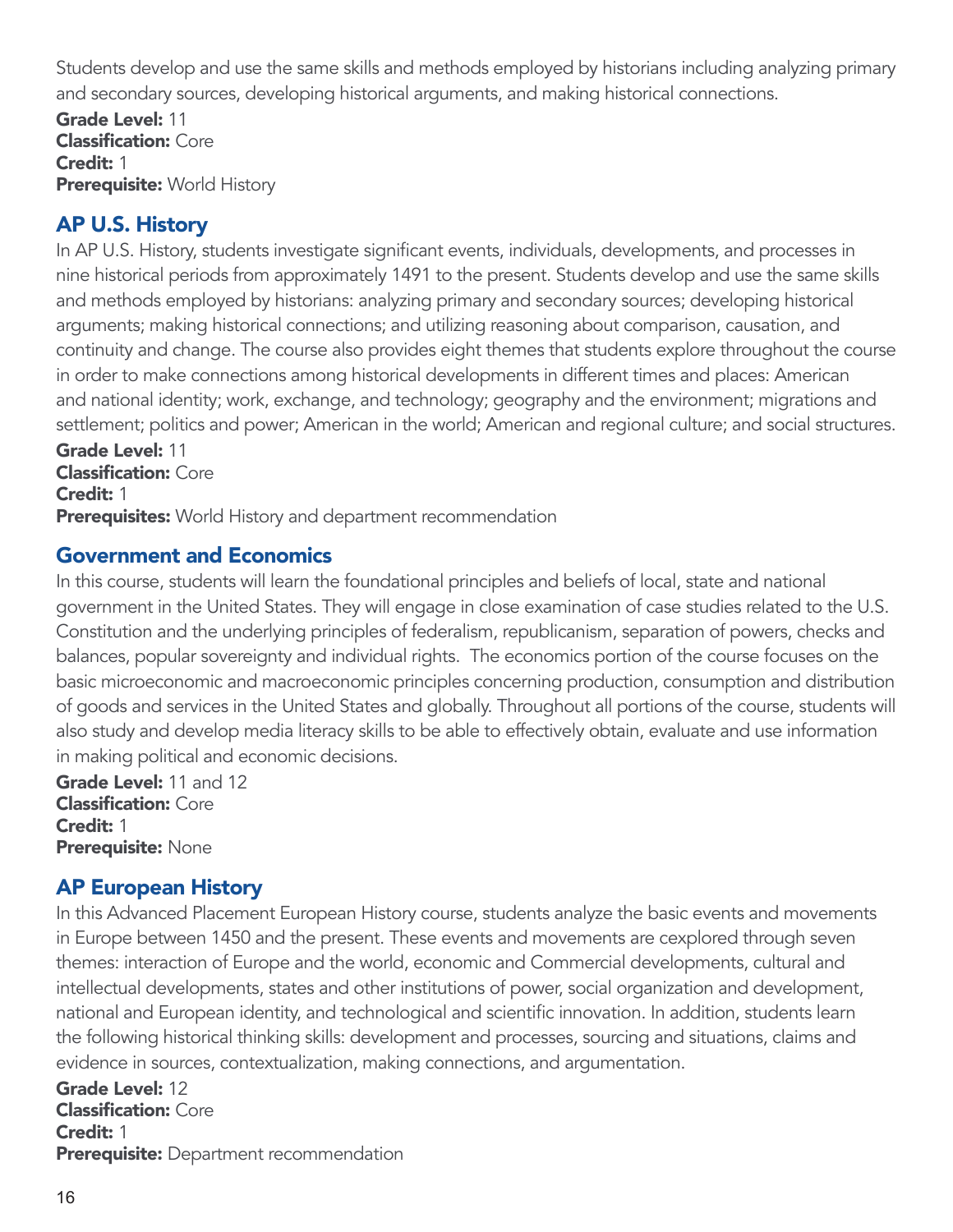Students develop and use the same skills and methods employed by historians including analyzing primary and secondary sources, developing historical arguments, and making historical connections.

Grade Level: 11 Classification: Core Credit: 1 **Prerequisite: World History** 

## AP U.S. History

In AP U.S. History, students investigate significant events, individuals, developments, and processes in nine historical periods from approximately 1491 to the present. Students develop and use the same skills and methods employed by historians: analyzing primary and secondary sources; developing historical arguments; making historical connections; and utilizing reasoning about comparison, causation, and continuity and change. The course also provides eight themes that students explore throughout the course in order to make connections among historical developments in different times and places: American and national identity; work, exchange, and technology; geography and the environment; migrations and settlement; politics and power; American in the world; American and regional culture; and social structures.

Grade Level: 11 Classification: Core Credit: 1 Prerequisites: World History and department recommendation

## Government and Economics

In this course, students will learn the foundational principles and beliefs of local, state and national government in the United States. They will engage in close examination of case studies related to the U.S. Constitution and the underlying principles of federalism, republicanism, separation of powers, checks and balances, popular sovereignty and individual rights. The economics portion of the course focuses on the basic microeconomic and macroeconomic principles concerning production, consumption and distribution of goods and services in the United States and globally. Throughout all portions of the course, students will also study and develop media literacy skills to be able to effectively obtain, evaluate and use information in making political and economic decisions.

Grade Level: 11 and 12 Classification: Core Credit: 1 Prerequisite: None

## AP European History

In this Advanced Placement European History course, students analyze the basic events and movements in Europe between 1450 and the present. These events and movements are cexplored through seven themes: interaction of Europe and the world, economic and Commercial developments, cultural and intellectual developments, states and other institutions of power, social organization and development, national and European identity, and technological and scientific innovation. In addition, students learn the following historical thinking skills: development and processes, sourcing and situations, claims and evidence in sources, contextualization, making connections, and argumentation.

Grade Level: 12 Classification: Core Credit: 1 **Prerequisite:** Department recommendation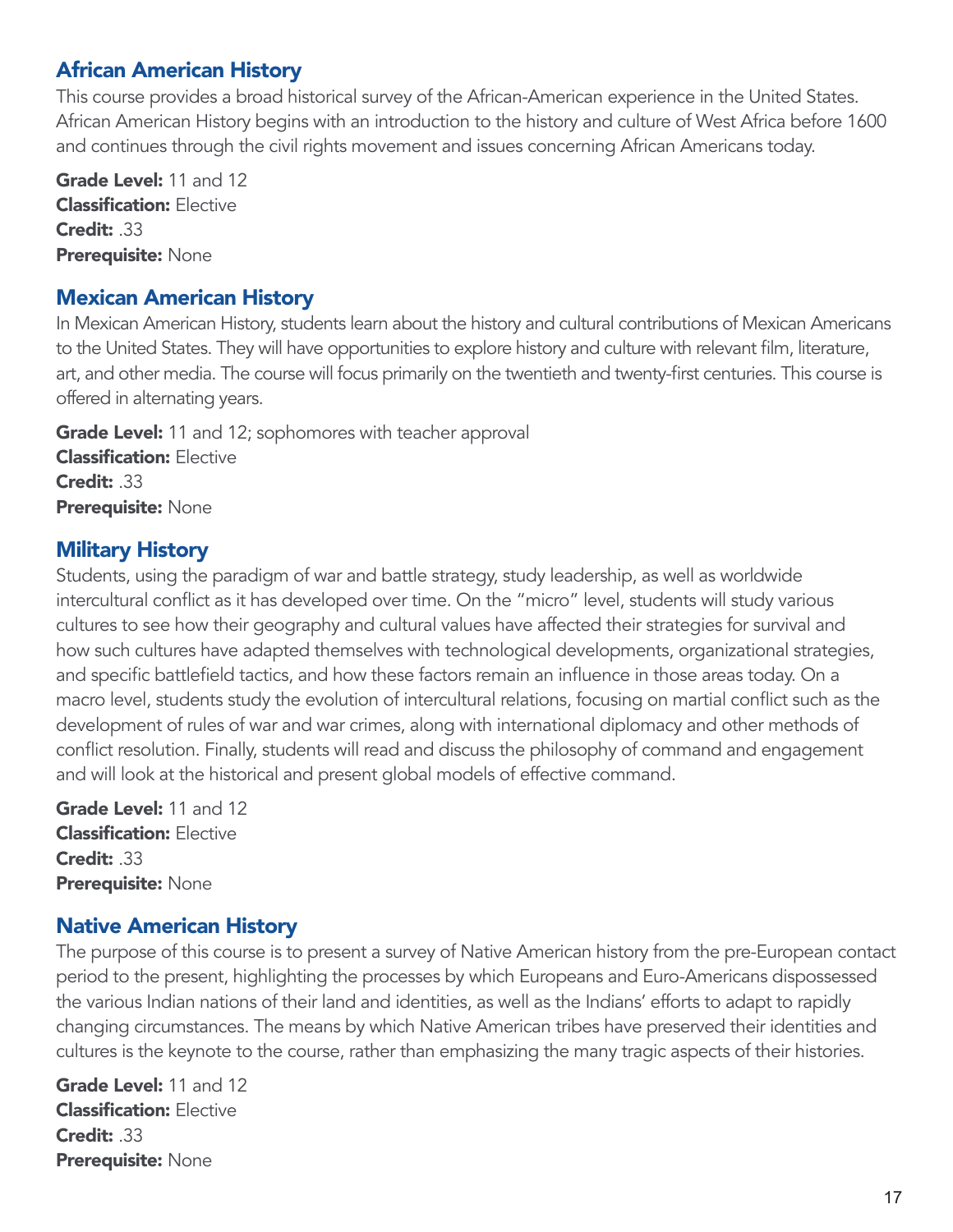## African American History

This course provides a broad historical survey of the African-American experience in the United States. African American History begins with an introduction to the history and culture of West Africa before 1600 and continues through the civil rights movement and issues concerning African Americans today.

Grade Level: 11 and 12 Classification: Elective Credit: .33 Prerequisite: None

#### Mexican American History

In Mexican American History, students learn about the history and cultural contributions of Mexican Americans to the United States. They will have opportunities to explore history and culture with relevant film, literature, art, and other media. The course will focus primarily on the twentieth and twenty-first centuries. This course is offered in alternating years.

Grade Level: 11 and 12; sophomores with teacher approval Classification: Elective Credit: .33 Prerequisite: None

## Military History

Students, using the paradigm of war and battle strategy, study leadership, as well as worldwide intercultural conflict as it has developed over time. On the "micro" level, students will study various cultures to see how their geography and cultural values have affected their strategies for survival and how such cultures have adapted themselves with technological developments, organizational strategies, and specific battlefield tactics, and how these factors remain an influence in those areas today. On a macro level, students study the evolution of intercultural relations, focusing on martial conflict such as the development of rules of war and war crimes, along with international diplomacy and other methods of conflict resolution. Finally, students will read and discuss the philosophy of command and engagement and will look at the historical and present global models of effective command.

Grade Level: 11 and 12 **Classification: Elective** Credit: .33 Prerequisite: None

## Native American History

The purpose of this course is to present a survey of Native American history from the pre-European contact period to the present, highlighting the processes by which Europeans and Euro-Americans dispossessed the various Indian nations of their land and identities, as well as the Indians' efforts to adapt to rapidly changing circumstances. The means by which Native American tribes have preserved their identities and cultures is the keynote to the course, rather than emphasizing the many tragic aspects of their histories.

Grade Level: 11 and 12 Classification: Elective Credit: .33 Prerequisite: None